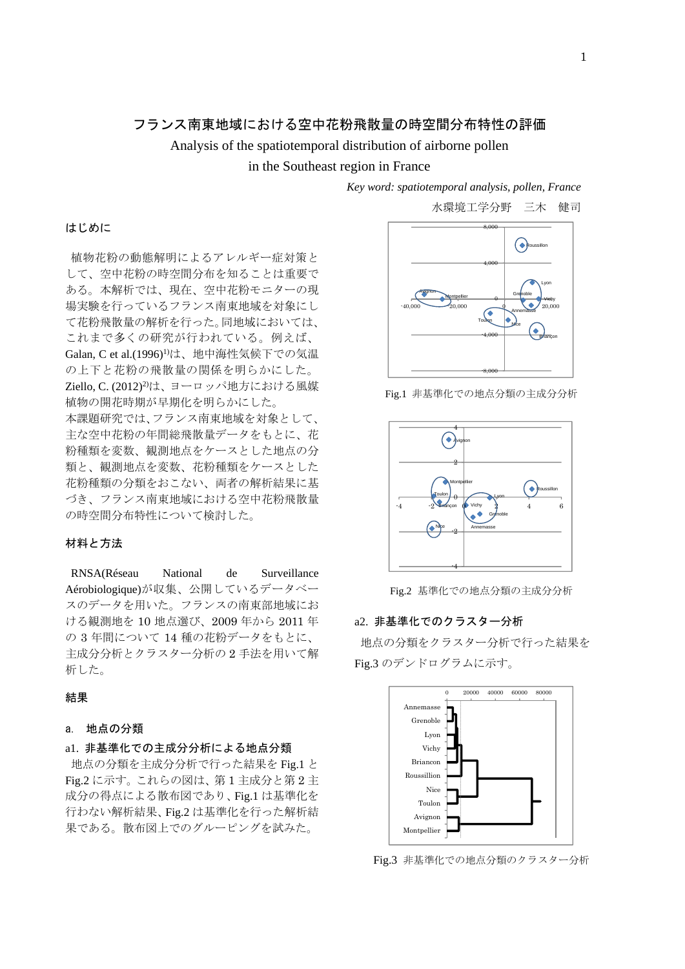# フランス南東地域における空中花粉飛散量の時空間分布特性の評価

Analysis of the spatiotemporal distribution of airborne pollen

in the Southeast region in France

*Key word: spatiotemporal analysis, pollen, France* 

植物花粉の動態解明によるアレルギー症対策と して、空中花粉の時空間分布を知ることは重要で ある。本解析では、現在、空中花粉モニターの現 場実験を行っているフランス南東地域を対象にし て花粉飛散量の解析を行った。同地域においては、 これまで多くの研究が行われている。例えば、 Galan, C et al.(1996)1)は、地中海性気候下での気温 の上下と花粉の飛散量の関係を明らかにした。 Ziello, C. (2012)<sup>2)</sup>は、ヨーロッパ地方における風媒 植物の開花時期が早期化を明らかにした。 本課題研究では、フランス南東地域を対象として、 主な空中花粉の年間総飛散量データをもとに、花 粉種類を変数、観測地点をケースとした地点の分 類と、観測地点を変数、花粉種類をケースとした 花粉種類の分類をおこない、両者の解析結果に基 づき、フランス南東地域における空中花粉飛散量 の時空間分布特性について検討した。

## 材料と方法

はじめに

RNSA(Réseau National de Surveillance Aérobiologique)が収集、公開しているデータベー スのデータを用いた。フランスの南東部地域にお ける観測地を 10 地点選び、2009 年から 2011 年 の 3 年間について 14 種の花粉データをもとに、 主成分分析とクラスター分析の 2 手法を用いて解 析した。

### 結果

## a. 地点の分類

## a1. 非基準化での主成分分析による地点分類

地点の分類を主成分分析で行った結果を Fig.1 と Fig.2 に示す。これらの図は、第 1 主成分と第 2 主 成分の得点による散布図であり、Fig.1 は基準化を 行わない解析結果、Fig.2 は基準化を行った解析結 果である。散布図上でのグルーピングを試みた。



Fig.1 非基準化での地点分類の主成分分析



Fig.2 基準化での地点分類の主成分分析

#### a2. 非基準化でのクラスター分析

地点の分類をクラスター分析で行った結果を Fig.3 のデンドログラムに示す。



Fig.3 非基準化での地点分類のクラスター分析